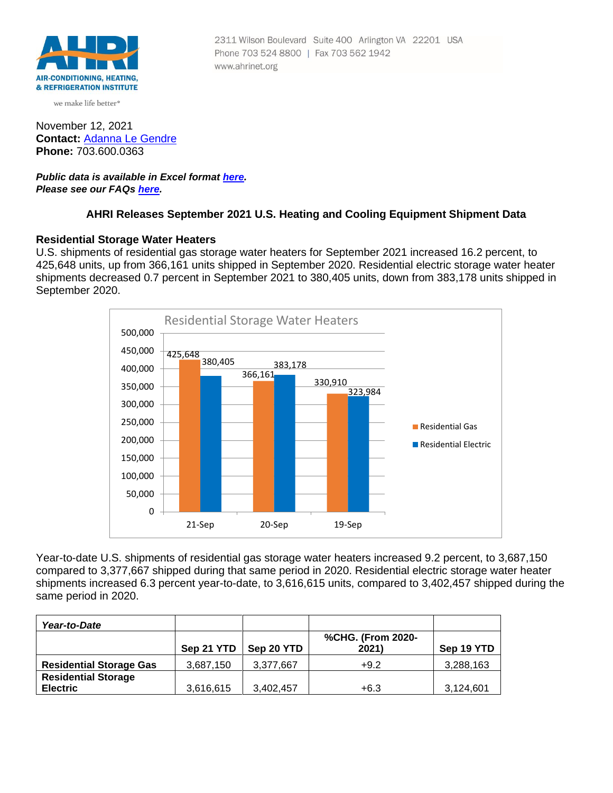

we make life better<sup>®</sup>

November 12, 2021 **Contact:** [Adanna Le Gendre](mailto:AleGendre@ahrinet.org) **Phone:** 703.600.0363

### *Public data is available in Excel format [here](https://ahrinet.org/Portals/Reports/September%202021%20Numbers.xls). Please see our FAQs [here.](#page-4-0)*

### **AHRI Releases September 2021 U.S. Heating and Cooling Equipment Shipment Data**

Phone 703 524 8800 | Fax 703 562 1942

www.ahrinet.org

2311 Wilson Boulevard Suite 400 Arlington VA 22201 USA

#### **Residential Storage Water Heaters**

U.S. shipments of residential gas storage water heaters for September 2021 increased 16.2 percent, to 425,648 units, up from 366,161 units shipped in September 2020. Residential electric storage water heater shipments decreased 0.7 percent in September 2021 to 380,405 units, down from 383,178 units shipped in September 2020.



Year-to-date U.S. shipments of residential gas storage water heaters increased 9.2 percent, to 3,687,150 compared to 3,377,667 shipped during that same period in 2020. Residential electric storage water heater shipments increased 6.3 percent year-to-date, to 3,616,615 units, compared to 3,402,457 shipped during the same period in 2020.

| Year-to-Date                                  |            |            |                            |            |
|-----------------------------------------------|------------|------------|----------------------------|------------|
|                                               | Sep 21 YTD | Sep 20 YTD | %CHG. (From 2020-<br>2021) | Sep 19 YTD |
| <b>Residential Storage Gas</b>                | 3,687,150  | 3,377,667  | $+9.2$                     | 3,288,163  |
| <b>Residential Storage</b><br><b>Electric</b> | 3,616,615  | 3,402,457  | $+6.3$                     | 3,124,601  |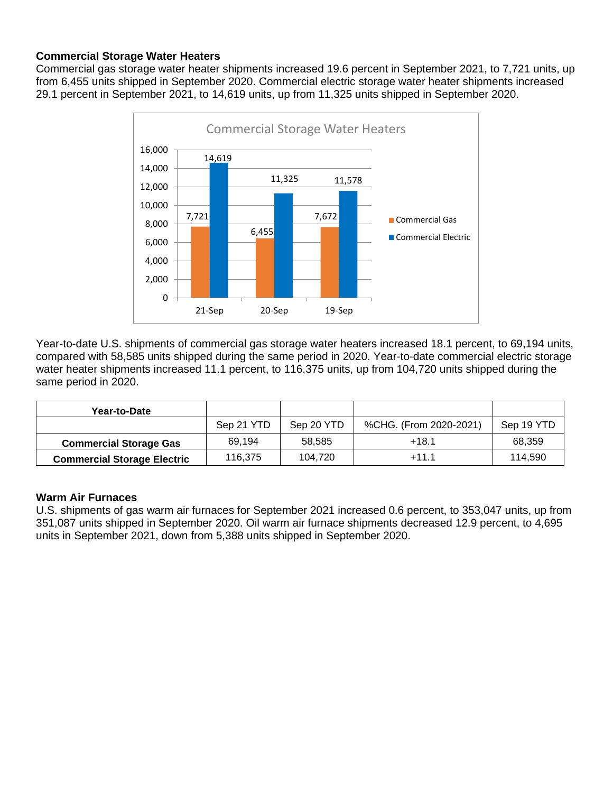## **Commercial Storage Water Heaters**

Commercial gas storage water heater shipments increased 19.6 percent in September 2021, to 7,721 units, up from 6,455 units shipped in September 2020. Commercial electric storage water heater shipments increased 29.1 percent in September 2021, to 14,619 units, up from 11,325 units shipped in September 2020.



Year-to-date U.S. shipments of commercial gas storage water heaters increased 18.1 percent, to 69,194 units, compared with 58,585 units shipped during the same period in 2020. Year-to-date commercial electric storage water heater shipments increased 11.1 percent, to 116,375 units, up from 104,720 units shipped during the same period in 2020.

| Year-to-Date                       |            |            |                        |            |
|------------------------------------|------------|------------|------------------------|------------|
|                                    | Sep 21 YTD | Sep 20 YTD | %CHG. (From 2020-2021) | Sep 19 YTD |
| <b>Commercial Storage Gas</b>      | 69.194     | 58,585     | $+18.1$                | 68,359     |
| <b>Commercial Storage Electric</b> | 116,375    | 104.720    | $+11.1$                | 114.590    |

## **Warm Air Furnaces**

U.S. shipments of gas warm air furnaces for September 2021 increased 0.6 percent, to 353,047 units, up from 351,087 units shipped in September 2020. Oil warm air furnace shipments decreased 12.9 percent, to 4,695 units in September 2021, down from 5,388 units shipped in September 2020.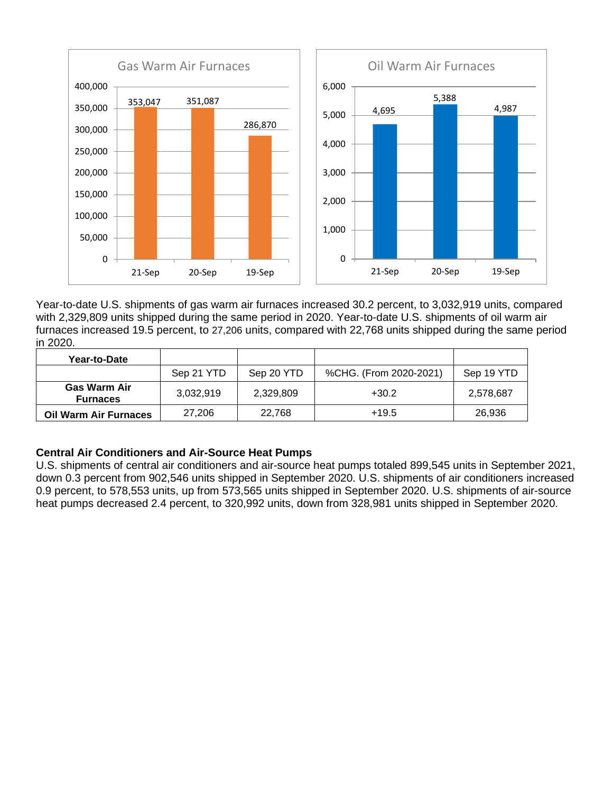

Year-to-date U.S. shipments of gas warm air furnaces increased 30.2 percent, to 3,032,919 units, compared with 2,329,809 units shipped during the same period in 2020. Year-to-date U.S. shipments of oil warm air furnaces increased 19.5 percent, to 27,206 units, compared with 22,768 units shipped during the same period in 2020.

| Year-to-Date                           |            |            |                        |            |
|----------------------------------------|------------|------------|------------------------|------------|
|                                        | Sep 21 YTD | Sep 20 YTD | %CHG. (From 2020-2021) | Sep 19 YTD |
| <b>Gas Warm Air</b><br><b>Furnaces</b> | 3.032.919  | 2.329.809  | $+30.2$                | 2,578,687  |
| <b>Oil Warm Air Furnaces</b>           | 27,206     | 22.768     | $+19.5$                | 26,936     |

## **Central Air Conditioners and Air-Source Heat Pumps**

U.S. shipments of central air conditioners and air-source heat pumps totaled 899,545 units in September 2021, down 0.3 percent from 902,546 units shipped in September 2020. U.S. shipments of air conditioners increased 0.9 percent, to 578,553 units, up from 573,565 units shipped in September 2020. U.S. shipments of air-source heat pumps decreased 2.4 percent, to 320,992 units, down from 328,981 units shipped in September 2020.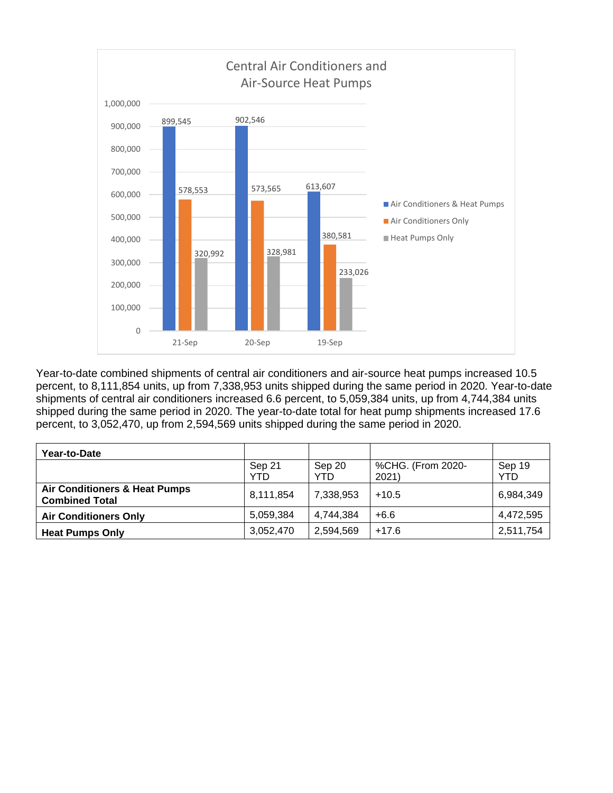

Year-to-date combined shipments of central air conditioners and air-source heat pumps increased 10.5 percent, to 8,111,854 units, up from 7,338,953 units shipped during the same period in 2020. Year-to-date shipments of central air conditioners increased 6.6 percent, to 5,059,384 units, up from 4,744,384 units shipped during the same period in 2020. The year-to-date total for heat pump shipments increased 17.6 percent, to 3,052,470, up from 2,594,569 units shipped during the same period in 2020.

| Year-to-Date                                                      |               |               |                            |                      |
|-------------------------------------------------------------------|---------------|---------------|----------------------------|----------------------|
|                                                                   | Sep 21<br>YTD | Sep 20<br>YTD | %CHG. (From 2020-<br>2021) | Sep 19<br><b>YTD</b> |
| <b>Air Conditioners &amp; Heat Pumps</b><br><b>Combined Total</b> | 8,111,854     | 7,338,953     | $+10.5$                    | 6,984,349            |
| <b>Air Conditioners Only</b>                                      | 5,059,384     | 4.744.384     | $+6.6$                     | 4,472,595            |
| <b>Heat Pumps Only</b>                                            | 3,052,470     | 2.594.569     | $+17.6$                    | 2,511,754            |